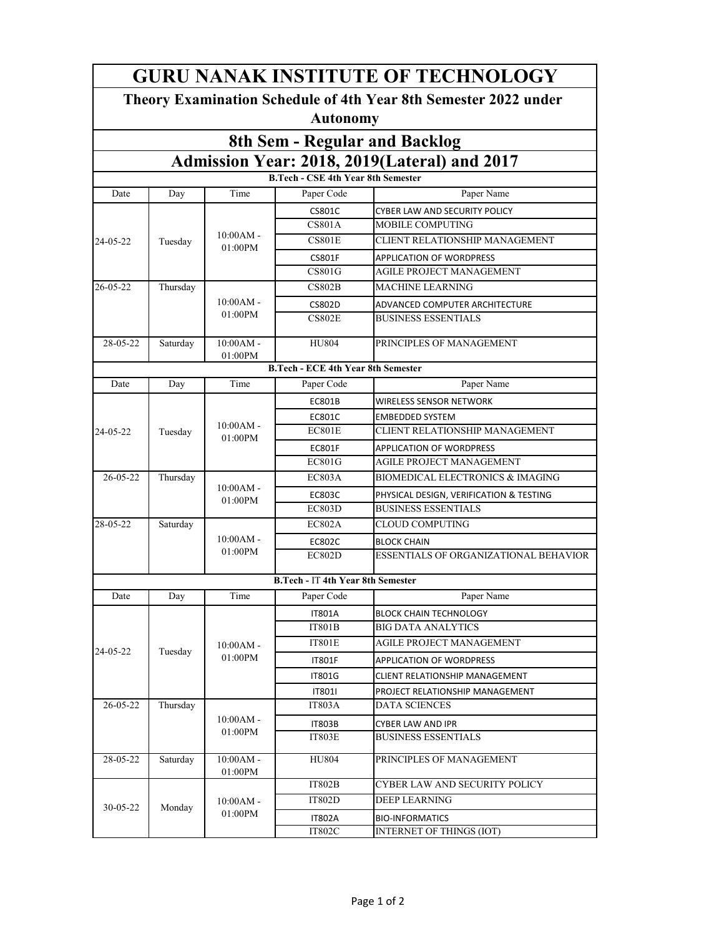| <b>GURU NANAK INSTITUTE OF TECHNOLOGY</b>                                          |          |                           |                                           |                                             |  |  |  |  |  |
|------------------------------------------------------------------------------------|----------|---------------------------|-------------------------------------------|---------------------------------------------|--|--|--|--|--|
| Theory Examination Schedule of 4th Year 8th Semester 2022 under<br><b>Autonomy</b> |          |                           |                                           |                                             |  |  |  |  |  |
| 8th Sem - Regular and Backlog                                                      |          |                           |                                           |                                             |  |  |  |  |  |
| Admission Year: 2018, 2019(Lateral) and 2017                                       |          |                           |                                           |                                             |  |  |  |  |  |
| <b>B.Tech - CSE 4th Year 8th Semester</b>                                          |          |                           |                                           |                                             |  |  |  |  |  |
| Date                                                                               | Day      | Time                      | Paper Code                                | Paper Name                                  |  |  |  |  |  |
|                                                                                    |          | $10:00AM -$<br>01:00PM    | <b>CS801C</b>                             | CYBER LAW AND SECURITY POLICY               |  |  |  |  |  |
|                                                                                    |          |                           | <b>CS801A</b>                             | MOBILE COMPUTING                            |  |  |  |  |  |
| 24-05-22                                                                           | Tuesday  |                           | <b>CS801E</b>                             | CLIENT RELATIONSHIP MANAGEMENT              |  |  |  |  |  |
|                                                                                    |          |                           | <b>CS801F</b>                             | APPLICATION OF WORDPRESS                    |  |  |  |  |  |
|                                                                                    |          |                           | <b>CS801G</b>                             | AGILE PROJECT MANAGEMENT                    |  |  |  |  |  |
| $26 - 05 - 22$                                                                     | Thursday | $10:00AM -$<br>01:00PM    | CS802B                                    | MACHINE LEARNING                            |  |  |  |  |  |
|                                                                                    |          |                           | <b>CS802D</b>                             | ADVANCED COMPUTER ARCHITECTURE              |  |  |  |  |  |
|                                                                                    |          |                           | <b>CS802E</b>                             | BUSINESS ESSENTIALS                         |  |  |  |  |  |
| 28-05-22                                                                           | Saturday | $10:00AM -$               | <b>HU804</b>                              | PRINCIPLES OF MANAGEMENT                    |  |  |  |  |  |
|                                                                                    |          | 01:00PM                   | <b>B.Tech - ECE 4th Year 8th Semester</b> |                                             |  |  |  |  |  |
| Date                                                                               | Day      | Time                      | Paper Code                                | Paper Name                                  |  |  |  |  |  |
|                                                                                    |          |                           | <b>EC801B</b>                             | <b>WIRELESS SENSOR NETWORK</b>              |  |  |  |  |  |
|                                                                                    |          |                           | EC801C                                    | <b>EMBEDDED SYSTEM</b>                      |  |  |  |  |  |
| 24-05-22                                                                           | Tuesday  | $10:00AM -$<br>$01:00$ PM | EC801E                                    | CLIENT RELATIONSHIP MANAGEMENT              |  |  |  |  |  |
|                                                                                    |          |                           | <b>EC801F</b>                             | <b>APPLICATION OF WORDPRESS</b>             |  |  |  |  |  |
|                                                                                    |          |                           | <b>EC801G</b>                             | AGILE PROJECT MANAGEMENT                    |  |  |  |  |  |
| $26 - 05 - 22$                                                                     | Thursday |                           | <b>EC803A</b>                             | <b>BIOMEDICAL ELECTRONICS &amp; IMAGING</b> |  |  |  |  |  |
|                                                                                    |          | $10:00AM -$               | <b>EC803C</b>                             | PHYSICAL DESIGN, VERIFICATION & TESTING     |  |  |  |  |  |
|                                                                                    |          | 01:00PM                   | EC803D                                    | <b>BUSINESS ESSENTIALS</b>                  |  |  |  |  |  |
| 28-05-22                                                                           | Saturday | $10:00AM -$<br>$01:00$ PM | <b>EC802A</b>                             | CLOUD COMPUTING                             |  |  |  |  |  |
|                                                                                    |          |                           | <b>EC802C</b>                             | <b>BLOCK CHAIN</b>                          |  |  |  |  |  |
|                                                                                    |          |                           | <b>EC802D</b>                             | ESSENTIALS OF ORGANIZATIONAL BEHAVIOR       |  |  |  |  |  |
|                                                                                    |          |                           | <b>B.Tech - IT 4th Year 8th Semester</b>  |                                             |  |  |  |  |  |
| Date                                                                               | Day      | Time                      | Paper Code                                | Paper Name                                  |  |  |  |  |  |
|                                                                                    | Tuesday  | $10:00AM -$<br>01:00PM    | <b>IT801A</b>                             | <b>BLOCK CHAIN TECHNOLOGY</b>               |  |  |  |  |  |
|                                                                                    |          |                           | IT801B                                    | <b>BIG DATA ANALYTICS</b>                   |  |  |  |  |  |
| 24-05-22                                                                           |          |                           | <b>IT801E</b>                             | AGILE PROJECT MANAGEMENT                    |  |  |  |  |  |
|                                                                                    |          |                           | <b>IT801F</b>                             | <b>APPLICATION OF WORDPRESS</b>             |  |  |  |  |  |
|                                                                                    |          |                           | <b>IT801G</b>                             | CLIENT RELATIONSHIP MANAGEMENT              |  |  |  |  |  |
|                                                                                    |          |                           | IT801I                                    | PROJECT RELATIONSHIP MANAGEMENT             |  |  |  |  |  |
| 26-05-22                                                                           | Thursday | $10:00AM -$<br>01:00PM    | IT803A                                    | <b>DATA SCIENCES</b>                        |  |  |  |  |  |
|                                                                                    |          |                           | <b>IT803B</b>                             | CYBER LAW AND IPR                           |  |  |  |  |  |
|                                                                                    |          |                           | <b>IT803E</b>                             | <b>BUSINESS ESSENTIALS</b>                  |  |  |  |  |  |
| 28-05-22                                                                           | Saturday | $10:00AM -$<br>01:00PM    | <b>HU804</b>                              | PRINCIPLES OF MANAGEMENT                    |  |  |  |  |  |
|                                                                                    | Monday   | $10:00AM -$<br>01:00PM    | <b>IT802B</b>                             | CYBER LAW AND SECURITY POLICY               |  |  |  |  |  |
|                                                                                    |          |                           | IT802D                                    | DEEP LEARNING                               |  |  |  |  |  |
| 30-05-22                                                                           |          |                           | <b>IT802A</b>                             | <b>BIO-INFORMATICS</b>                      |  |  |  |  |  |
|                                                                                    |          |                           | <b>IT802C</b>                             | <b>INTERNET OF THINGS (IOT)</b>             |  |  |  |  |  |